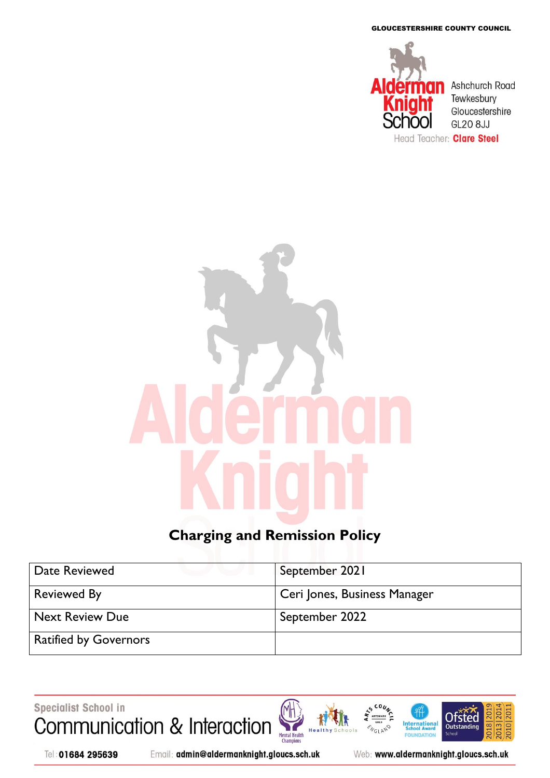GLOUCESTERSHIRE COUNTY COUNCIL



# **Charging and Remission Policy**

| Date Reviewed                | September 2021               |
|------------------------------|------------------------------|
| <b>Reviewed By</b>           | Ceri Jones, Business Manager |
| <b>Next Review Due</b>       | September 2022               |
| <b>Ratified by Governors</b> |                              |

Specialist School in Communication & Interaction **International**<br>School Award Mental Health<br>Champions **NGLAND** He FOUNDATION



Tel: 01684 295639

Email: admin@aldermanknight.gloucs.sch.uk

Web: www.aldermanknight.gloucs.sch.uk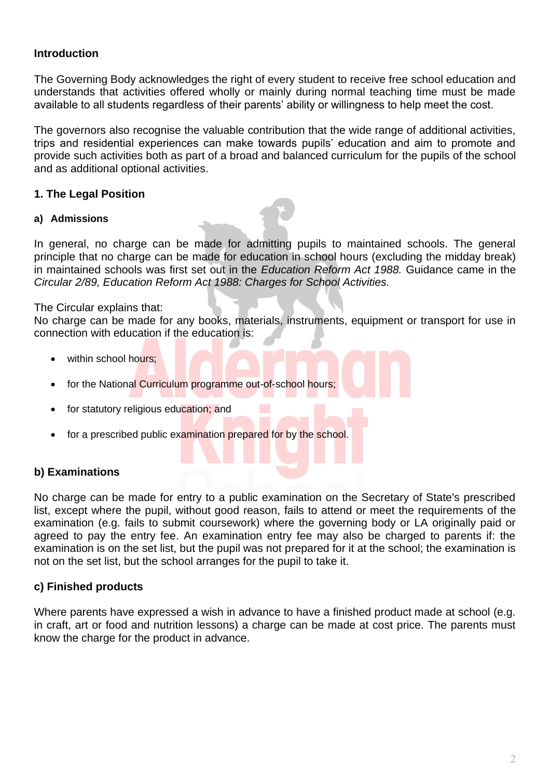#### **Introduction**

The Governing Body acknowledges the right of every student to receive free school education and understands that activities offered wholly or mainly during normal teaching time must be made available to all students regardless of their parents' ability or willingness to help meet the cost.

The governors also recognise the valuable contribution that the wide range of additional activities, trips and residential experiences can make towards pupils' education and aim to promote and provide such activities both as part of a broad and balanced curriculum for the pupils of the school and as additional optional activities.

## **1. The Legal Position**

#### **a) Admissions**

In general, no charge can be made for admitting pupils to maintained schools. The general principle that no charge can be made for education in school hours (excluding the midday break) in maintained schools was first set out in the *Education Reform Act 1988.* Guidance came in the *Circular 2/89, Education Reform Act 1988: Charges for School Activities.* 

#### The Circular explains that:

No charge can be made for any books, materials, instruments, equipment or transport for use in connection with education if the education is:

- within school hours:
- for the National Curriculum programme out-of-school hours;
- for statutory religious education; and
- for a prescribed public examination prepared for by the school.

# **b) Examinations**

No charge can be made for entry to a public examination on the Secretary of State's prescribed list, except where the pupil, without good reason, fails to attend or meet the requirements of the examination (e.g. fails to submit coursework) where the governing body or LA originally paid or agreed to pay the entry fee. An examination entry fee may also be charged to parents if: the examination is on the set list, but the pupil was not prepared for it at the school; the examination is not on the set list, but the school arranges for the pupil to take it.

#### **c) Finished products**

Where parents have expressed a wish in advance to have a finished product made at school (e.g. in craft, art or food and nutrition lessons) a charge can be made at cost price. The parents must know the charge for the product in advance.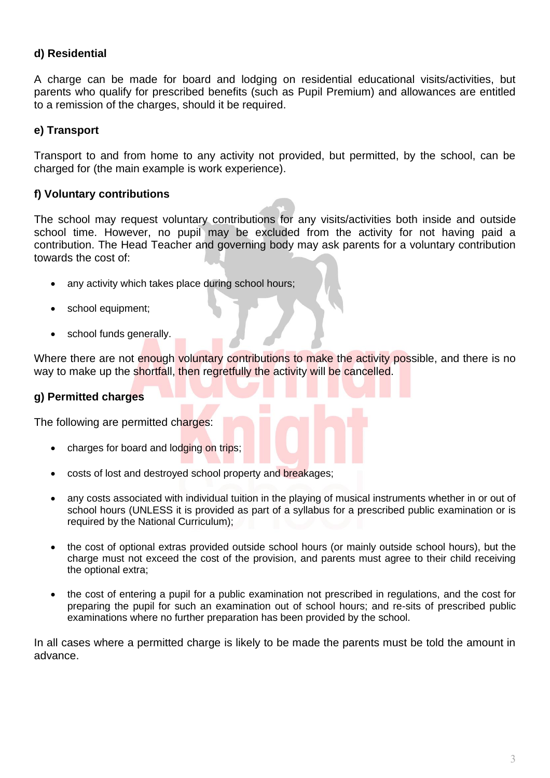## **d) Residential**

A charge can be made for board and lodging on residential educational visits/activities, but parents who qualify for prescribed benefits (such as Pupil Premium) and allowances are entitled to a remission of the charges, should it be required.

#### **e) Transport**

Transport to and from home to any activity not provided, but permitted, by the school, can be charged for (the main example is work experience).

#### **f) Voluntary contributions**

The school may request voluntary contributions for any visits/activities both inside and outside school time. However, no pupil may be excluded from the activity for not having paid a contribution. The Head Teacher and governing body may ask parents for a voluntary contribution towards the cost of:

- any activity which takes place during school hours;
- school equipment;
- school funds generally.

Where there are not enough voluntary contributions to make the activity possible, and there is no way to make up the shortfall, then regretfully the activity will be cancelled.

#### **g) Permitted charges**

The following are permitted charges:

- charges for board and lodging on trips;
- costs of lost and destroyed school property and breakages;
- any costs associated with individual tuition in the playing of musical instruments whether in or out of school hours (UNLESS it is provided as part of a syllabus for a prescribed public examination or is required by the National Curriculum);
- the cost of optional extras provided outside school hours (or mainly outside school hours), but the charge must not exceed the cost of the provision, and parents must agree to their child receiving the optional extra;
- the cost of entering a pupil for a public examination not prescribed in regulations, and the cost for preparing the pupil for such an examination out of school hours; and re-sits of prescribed public examinations where no further preparation has been provided by the school.

In all cases where a permitted charge is likely to be made the parents must be told the amount in advance.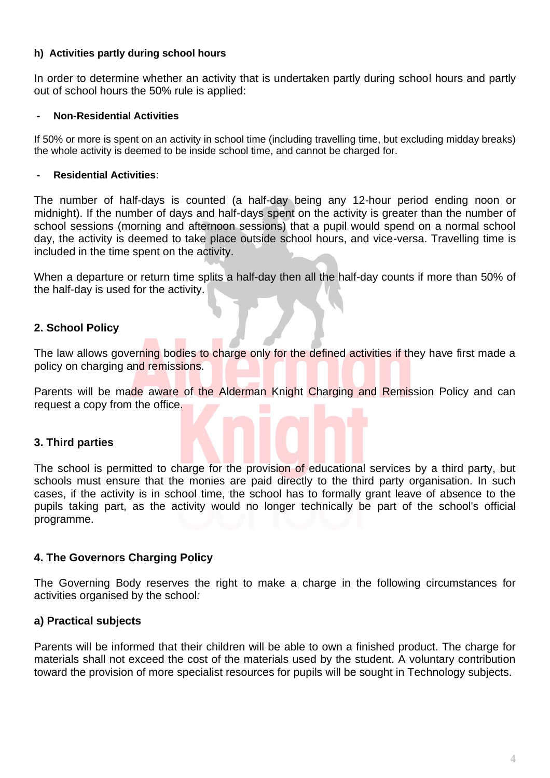#### **h) Activities partly during school hours**

In order to determine whether an activity that is undertaken partly during school hours and partly out of school hours the 50% rule is applied:

#### **- Non-Residential Activities**

If 50% or more is spent on an activity in school time (including travelling time, but excluding midday breaks) the whole activity is deemed to be inside school time, and cannot be charged for.

#### **- Residential Activities**:

The number of half-days is counted (a half-day being any 12-hour period ending noon or midnight). If the number of days and half-days spent on the activity is greater than the number of school sessions (morning and afternoon sessions) that a pupil would spend on a normal school day, the activity is deemed to take place outside school hours, and vice-versa. Travelling time is included in the time spent on the activity.

When a departure or return time splits a half-day then all the half-day counts if more than 50% of the half-day is used for the activity.

# **2. School Policy**

The law allows governing bodies to charge only for the defined activities if they have first made a policy on charging and remissions.

Parents will be made aware of the Alderman Knight Charging and Remission Policy and can request a copy from the office.

# **3. Third parties**

The school is permitted to charge for the provision of educational services by a third party, but schools must ensure that the monies are paid directly to the third party organisation. In such cases, if the activity is in school time, the school has to formally grant leave of absence to the pupils taking part, as the activity would no longer technically be part of the school's official programme.

# **4. The Governors Charging Policy**

The Governing Body reserves the right to make a charge in the following circumstances for activities organised by the school*:*

# **a) Practical subjects**

Parents will be informed that their children will be able to own a finished product. The charge for materials shall not exceed the cost of the materials used by the student. A voluntary contribution toward the provision of more specialist resources for pupils will be sought in Technology subjects.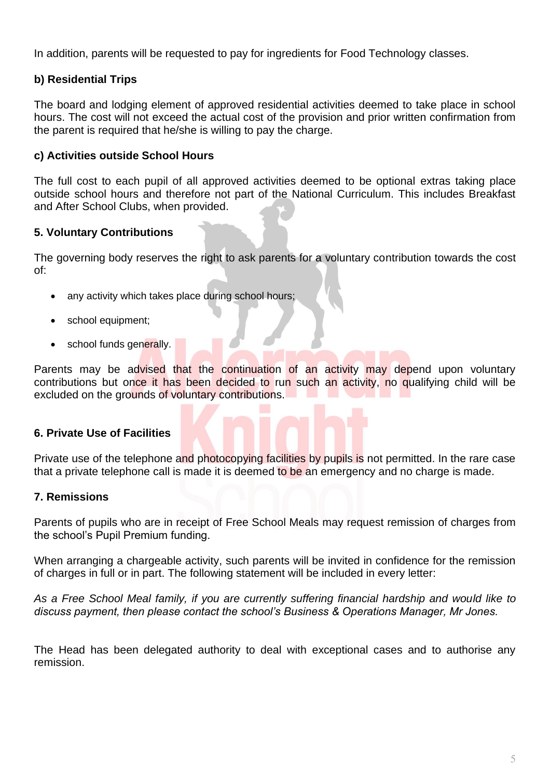In addition, parents will be requested to pay for ingredients for Food Technology classes.

# **b) Residential Trips**

The board and lodging element of approved residential activities deemed to take place in school hours. The cost will not exceed the actual cost of the provision and prior written confirmation from the parent is required that he/she is willing to pay the charge.

## **c) Activities outside School Hours**

The full cost to each pupil of all approved activities deemed to be optional extras taking place outside school hours and therefore not part of the National Curriculum. This includes Breakfast and After School Clubs, when provided.

#### **5. Voluntary Contributions**

The governing body reserves the right to ask parents for a voluntary contribution towards the cost of:

- any activity which takes place during school hours;
- school equipment;
- school funds generally.

Parents may be advised that the continuation of an activity may depend upon voluntary contributions but once it has been decided to run such an activity, no qualifying child will be excluded on the grounds of voluntary contributions.

#### **6. Private Use of Facilities**

Private use of the telephone and photocopying facilities by pupils is not permitted. In the rare case that a private telephone call is made it is deemed to be an emergency and no charge is made.

#### **7. Remissions**

Parents of pupils who are in receipt of Free School Meals may request remission of charges from the school's Pupil Premium funding.

When arranging a chargeable activity, such parents will be invited in confidence for the remission of charges in full or in part. The following statement will be included in every letter:

*As a Free School Meal family, if you are currently suffering financial hardship and would like to discuss payment, then please contact the school's Business & Operations Manager, Mr Jones.*

The Head has been delegated authority to deal with exceptional cases and to authorise any remission.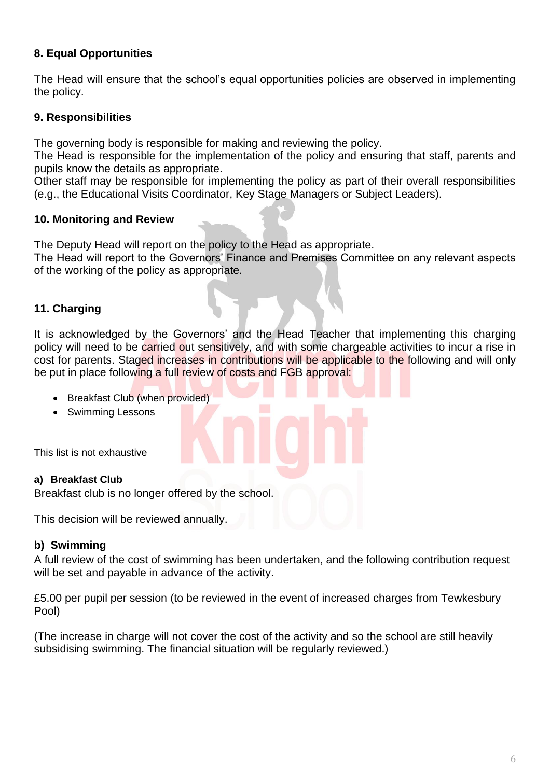# **8. Equal Opportunities**

The Head will ensure that the school's equal opportunities policies are observed in implementing the policy.

# **9. Responsibilities**

The governing body is responsible for making and reviewing the policy.

The Head is responsible for the implementation of the policy and ensuring that staff, parents and pupils know the details as appropriate.

Other staff may be responsible for implementing the policy as part of their overall responsibilities (e.g., the Educational Visits Coordinator, Key Stage Managers or Subject Leaders).

# **10. Monitoring and Review**

The Deputy Head will report on the policy to the Head as appropriate.

The Head will report to the Governors' Finance and Premises Committee on any relevant aspects of the working of the policy as appropriate.

# **11. Charging**

It is acknowledged by the Governors' and the Head Teacher that implementing this charging policy will need to be carried out sensitively, and with some chargeable activities to incur a rise in cost for parents. Staged increases in contributions will be applicable to the following and will only be put in place following a full review of costs and FGB approval:

- Breakfast Club (when provided)
- Swimming Lessons

This list is not exhaustive

# **a) Breakfast Club**

Breakfast club is no longer offered by the school.

This decision will be reviewed annually.

# **b) Swimming**

A full review of the cost of swimming has been undertaken, and the following contribution request will be set and payable in advance of the activity.

£5.00 per pupil per session (to be reviewed in the event of increased charges from Tewkesbury Pool)

(The increase in charge will not cover the cost of the activity and so the school are still heavily subsidising swimming. The financial situation will be regularly reviewed.)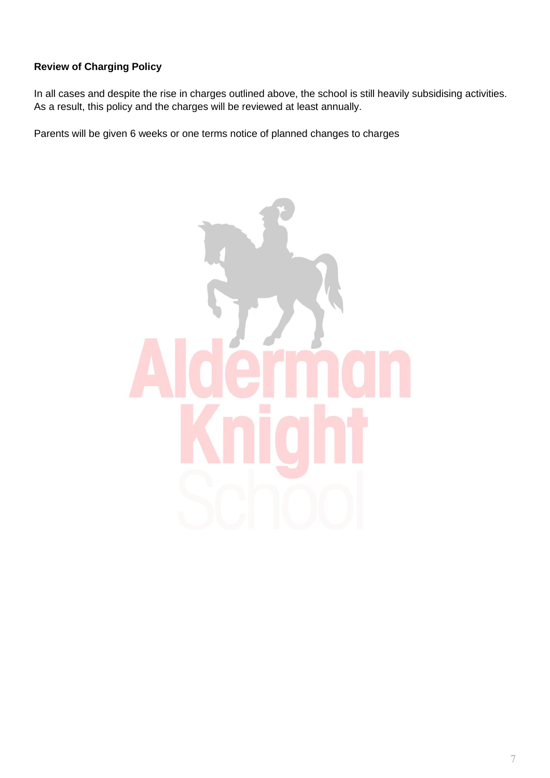# **Review of Charging Policy**

In all cases and despite the rise in charges outlined above, the school is still heavily subsidising activities. As a result, this policy and the charges will be reviewed at least annually.

Parents will be given 6 weeks or one terms notice of planned changes to charges